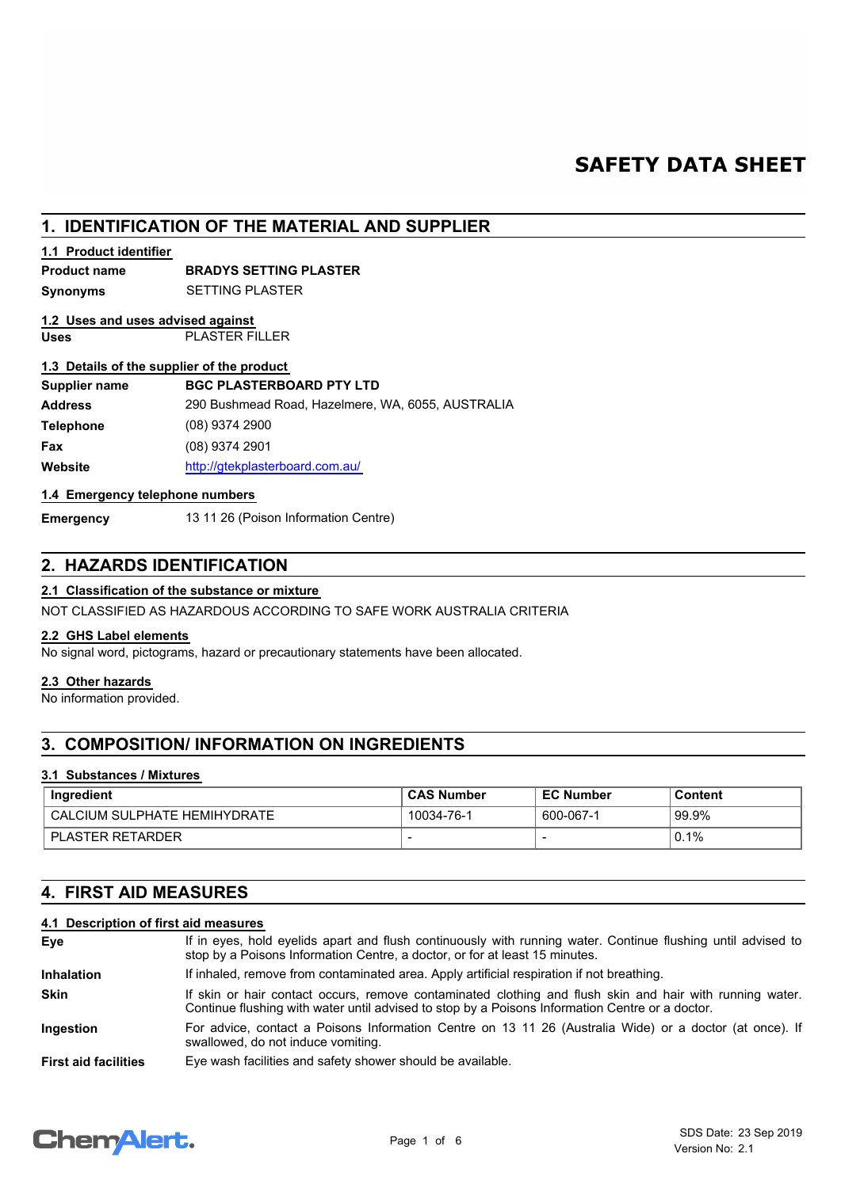# **SAFETY DATA SHEET**

# **1. IDENTIFICATION OF THE MATERIAL AND SUPPLIER**

# **1.1 Product identifier**

# **Product name BRADYS SETTING PLASTER**

**Synonyms** SETTING PLASTER

# **1.2 Uses and uses advised against**

**Uses** PLASTER FILLER

## **1.3 Details of the supplier of the product**

| Supplier name    | <b>BGC PLASTERBOARD PTY LTD</b>                   |
|------------------|---------------------------------------------------|
| <b>Address</b>   | 290 Bushmead Road, Hazelmere, WA, 6055, AUSTRALIA |
| <b>Telephone</b> | $(08)$ 9374 2900                                  |
| <b>Fax</b>       | $(08)$ 9374 2901                                  |
| Website          | http://gtekplasterboard.com.au/                   |

# **1.4 Emergency telephone numbers**

**Emergency** 13 11 26 (Poison Information Centre)

# **2. HAZARDS IDENTIFICATION**

## **2.1 Classification of the substance or mixture**

NOT CLASSIFIED AS HAZARDOUS ACCORDING TO SAFE WORK AUSTRALIA CRITERIA

## **2.2 GHS Label elements**

No signal word, pictograms, hazard or precautionary statements have been allocated.

# **2.3 Other hazards**

No information provided.

# **3. COMPOSITION/ INFORMATION ON INGREDIENTS**

## **3.1 Substances / Mixtures**

| Ingredient                    | <b>CAS Number</b> | <b>EC Number</b> | Content |
|-------------------------------|-------------------|------------------|---------|
| LCALCIUM SULPHATE HEMIHYDRATE | 10034-76-1        | 600-067-1        | `99.9%  |
| PLASTER RETARDER              |                   |                  | 0.1%    |

# **4. FIRST AID MEASURES**

# **4.1 Description of first aid measures**

| Eye                         | If in eyes, hold eyelids apart and flush continuously with running water. Continue flushing until advised to<br>stop by a Poisons Information Centre, a doctor, or for at least 15 minutes.                 |
|-----------------------------|-------------------------------------------------------------------------------------------------------------------------------------------------------------------------------------------------------------|
| <b>Inhalation</b>           | If inhaled, remove from contaminated area. Apply artificial respiration if not breathing.                                                                                                                   |
| <b>Skin</b>                 | If skin or hair contact occurs, remove contaminated clothing and flush skin and hair with running water.<br>Continue flushing with water until advised to stop by a Poisons Information Centre or a doctor. |
| <b>Ingestion</b>            | For advice, contact a Poisons Information Centre on 13 11 26 (Australia Wide) or a doctor (at once). If<br>swallowed, do not induce vomiting.                                                               |
| <b>First aid facilities</b> | Eye wash facilities and safety shower should be available.                                                                                                                                                  |

# **Chemalert.**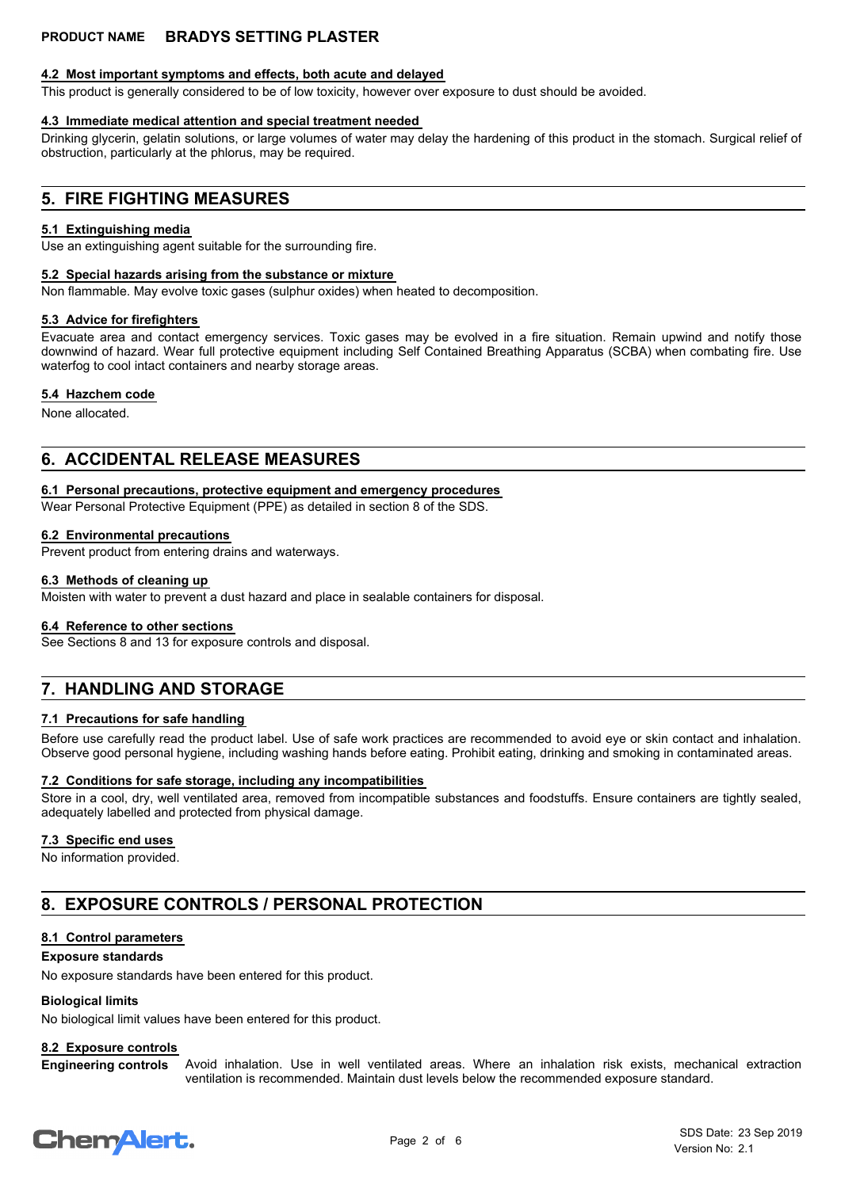# **4.2 Most important symptoms and effects, both acute and delayed**

This product is generally considered to be of low toxicity, however over exposure to dust should be avoided.

# **4.3 Immediate medical attention and special treatment needed**

Drinking glycerin, gelatin solutions, or large volumes of water may delay the hardening of this product in the stomach. Surgical relief of obstruction, particularly at the phlorus, may be required.

# **5. FIRE FIGHTING MEASURES**

### **5.1 Extinguishing media**

Use an extinguishing agent suitable for the surrounding fire.

### **5.2 Special hazards arising from the substance or mixture**

Non flammable. May evolve toxic gases (sulphur oxides) when heated to decomposition.

### **5.3 Advice for firefighters**

Evacuate area and contact emergency services. Toxic gases may be evolved in a fire situation. Remain upwind and notify those downwind of hazard. Wear full protective equipment including Self Contained Breathing Apparatus (SCBA) when combating fire. Use waterfog to cool intact containers and nearby storage areas.

### **5.4 Hazchem code**

None allocated.

# **6. ACCIDENTAL RELEASE MEASURES**

### **6.1 Personal precautions, protective equipment and emergency procedures**

Wear Personal Protective Equipment (PPE) as detailed in section 8 of the SDS.

### **6.2 Environmental precautions**

Prevent product from entering drains and waterways.

### **6.3 Methods of cleaning up**

Moisten with water to prevent a dust hazard and place in sealable containers for disposal.

### **6.4 Reference to other sections**

See Sections 8 and 13 for exposure controls and disposal.

# **7. HANDLING AND STORAGE**

# **7.1 Precautions for safe handling**

Before use carefully read the product label. Use of safe work practices are recommended to avoid eye or skin contact and inhalation. Observe good personal hygiene, including washing hands before eating. Prohibit eating, drinking and smoking in contaminated areas.

## **7.2 Conditions for safe storage, including any incompatibilities**

Store in a cool, dry, well ventilated area, removed from incompatible substances and foodstuffs. Ensure containers are tightly sealed, adequately labelled and protected from physical damage.

## **7.3 Specific end uses**

No information provided.

# **8. EXPOSURE CONTROLS / PERSONAL PROTECTION**

## **8.1 Control parameters**

### **Exposure standards**

No exposure standards have been entered for this product.

## **Biological limits**

No biological limit values have been entered for this product.

## **8.2 Exposure controls**

Avoid inhalation. Use in well ventilated areas. Where an inhalation risk exists, mechanical extraction ventilation is recommended. Maintain dust levels below the recommended exposure standard. **Engineering controls**

# **ChemAlert.**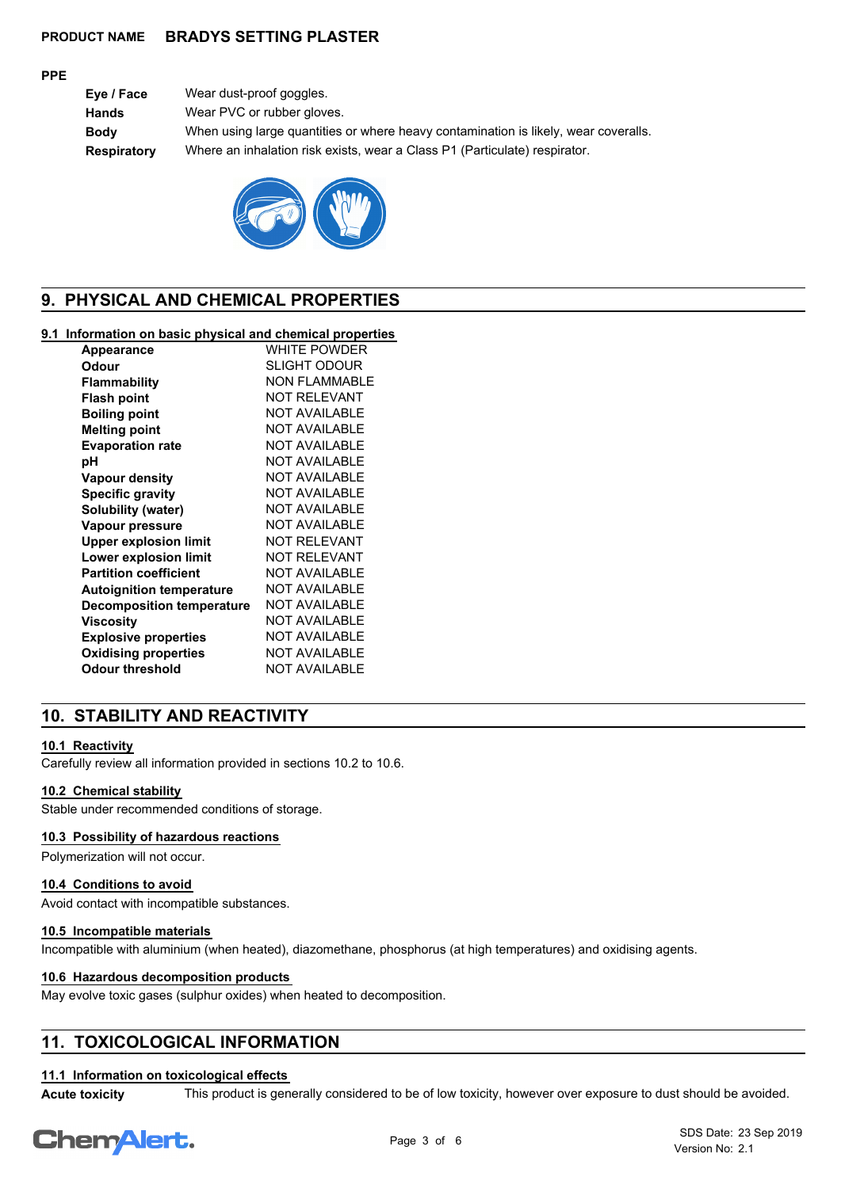### **PPE**

**Eye / Face** Wear dust-proof goggles. **Hands** Wear PVC or rubber gloves. **Body** When using large quantities or where heavy contamination is likely, wear coveralls. **Respiratory** Where an inhalation risk exists, wear a Class P1 (Particulate) respirator.



# **9. PHYSICAL AND CHEMICAL PROPERTIES**

# **9.1 Information on basic physical and chemical properties**

| <b>Appearance</b>                | WHITE POWDER         |
|----------------------------------|----------------------|
| Odour                            | <b>SLIGHT ODOUR</b>  |
| Flammability                     | NON FI AMMABI F      |
| <b>Flash point</b>               | NOT RFI FVANT        |
| <b>Boiling point</b>             | <b>NOT AVAILABLE</b> |
| <b>Melting point</b>             | <b>NOT AVAILABLE</b> |
| <b>Evaporation rate</b>          | <b>NOT AVAILABLE</b> |
| рH                               | NOT AVAII ABI F      |
| Vapour density                   | <b>NOT AVAILABLE</b> |
| <b>Specific gravity</b>          | <b>NOT AVAILABLE</b> |
| Solubility (water)               | <b>NOT AVAILABLE</b> |
| Vapour pressure                  | <b>NOT AVAILABLE</b> |
| <b>Upper explosion limit</b>     | <b>NOT RELEVANT</b>  |
| Lower explosion limit            | NOT RFI FVANT        |
| <b>Partition coefficient</b>     | <b>NOT AVAILABLE</b> |
| <b>Autoignition temperature</b>  | <b>NOT AVAILABLE</b> |
| <b>Decomposition temperature</b> | <b>NOT AVAILABLE</b> |
| Viscosity                        | <b>NOT AVAILABLE</b> |
| <b>Explosive properties</b>      | <b>NOT AVAILABLE</b> |
| <b>Oxidising properties</b>      | <b>NOT AVAILABLE</b> |
| Odour threshold                  | <b>NOT AVAILABLE</b> |
|                                  |                      |

# **10. STABILITY AND REACTIVITY**

## **10.1 Reactivity**

Carefully review all information provided in sections 10.2 to 10.6.

### **10.2 Chemical stability**

Stable under recommended conditions of storage.

# **10.3 Possibility of hazardous reactions**

Polymerization will not occur.

### **10.4 Conditions to avoid**

Avoid contact with incompatible substances.

### **10.5 Incompatible materials**

Incompatible with aluminium (when heated), diazomethane, phosphorus (at high temperatures) and oxidising agents.

### **10.6 Hazardous decomposition products**

May evolve toxic gases (sulphur oxides) when heated to decomposition.

# **11. TOXICOLOGICAL INFORMATION**

### **11.1 Information on toxicological effects**

**Acute toxicity** This product is generally considered to be of low toxicity, however over exposure to dust should be avoided.

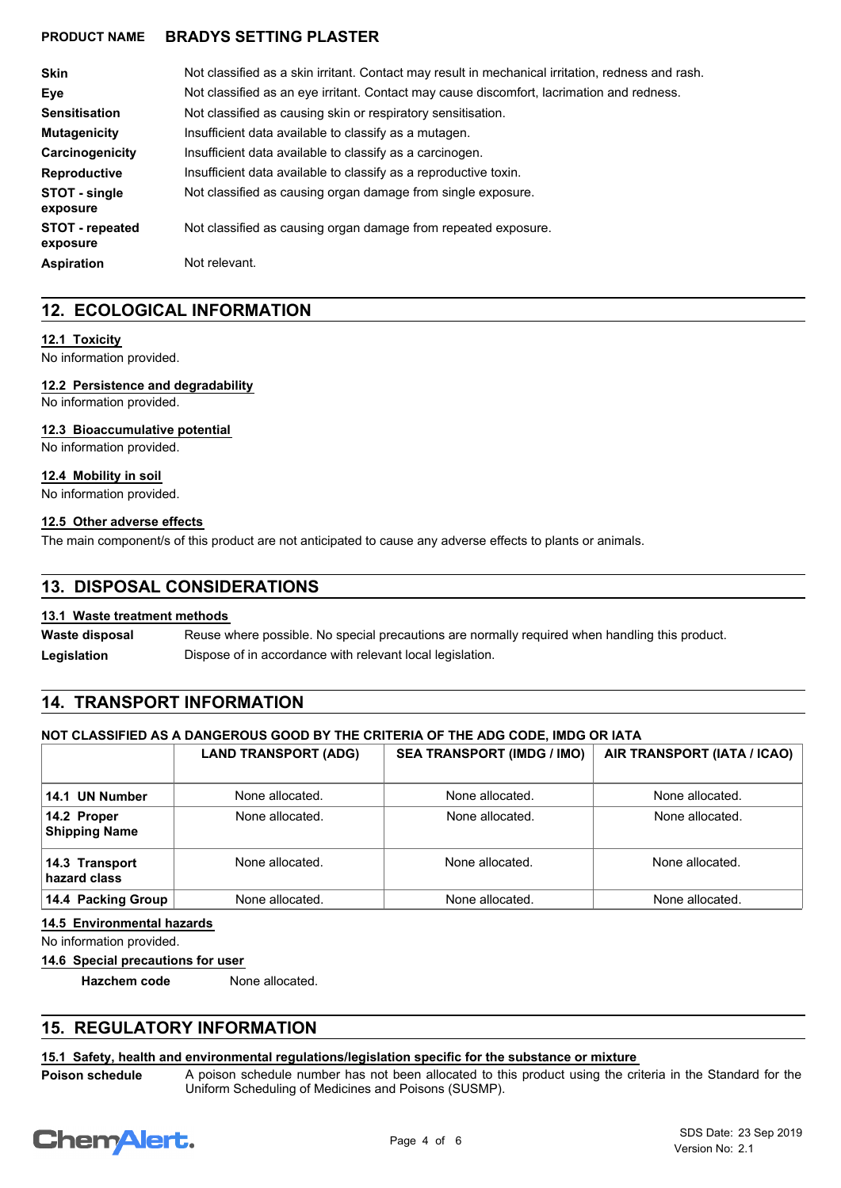| <b>Skin</b>                        | Not classified as a skin irritant. Contact may result in mechanical irritation, redness and rash. |
|------------------------------------|---------------------------------------------------------------------------------------------------|
| Eve                                | Not classified as an eye irritant. Contact may cause discomfort, lacrimation and redness.         |
| <b>Sensitisation</b>               | Not classified as causing skin or respiratory sensitisation.                                      |
| <b>Mutagenicity</b>                | Insufficient data available to classify as a mutagen.                                             |
| Carcinogenicity                    | Insufficient data available to classify as a carcinogen.                                          |
| <b>Reproductive</b>                | Insufficient data available to classify as a reproductive toxin.                                  |
| STOT - single<br>exposure          | Not classified as causing organ damage from single exposure.                                      |
| <b>STOT</b> - repeated<br>exposure | Not classified as causing organ damage from repeated exposure.                                    |
| <b>Aspiration</b>                  | Not relevant.                                                                                     |

# **12. ECOLOGICAL INFORMATION**

## **12.1 Toxicity**

No information provided.

# **12.2 Persistence and degradability**

No information provided.

## **12.3 Bioaccumulative potential**

No information provided.

### **12.4 Mobility in soil**

No information provided.

### **12.5 Other adverse effects**

The main component/s of this product are not anticipated to cause any adverse effects to plants or animals.

# **13. DISPOSAL CONSIDERATIONS**

## **13.1 Waste treatment methods**

Reuse where possible. No special precautions are normally required when handling this product. **Waste disposal** Legislation **Dispose of in accordance with relevant local legislation.** 

# **14. TRANSPORT INFORMATION**

## **NOT CLASSIFIED AS A DANGEROUS GOOD BY THE CRITERIA OF THE ADG CODE, IMDG OR IATA**

|                                     | <b>LAND TRANSPORT (ADG)</b> | <b>SEA TRANSPORT (IMDG / IMO)</b> | AIR TRANSPORT (IATA / ICAO) |
|-------------------------------------|-----------------------------|-----------------------------------|-----------------------------|
| 14.1 UN Number                      | None allocated.             | None allocated.                   | None allocated.             |
| 14.2 Proper<br><b>Shipping Name</b> | None allocated.             | None allocated.                   | None allocated.             |
| 14.3 Transport<br>hazard class      | None allocated.             | None allocated.                   | None allocated.             |
| 14.4 Packing Group                  | None allocated.             | None allocated.                   | None allocated.             |

# **14.5 Environmental hazards**

No information provided.

**14.6 Special precautions for user**

**Hazchem code** None allocated.

# **15. REGULATORY INFORMATION**

# **15.1 Safety, health and environmental regulations/legislation specific for the substance or mixture**

**Poison schedule**

A poison schedule number has not been allocated to this product using the criteria in the Standard for the Uniform Scheduling of Medicines and Poisons (SUSMP).

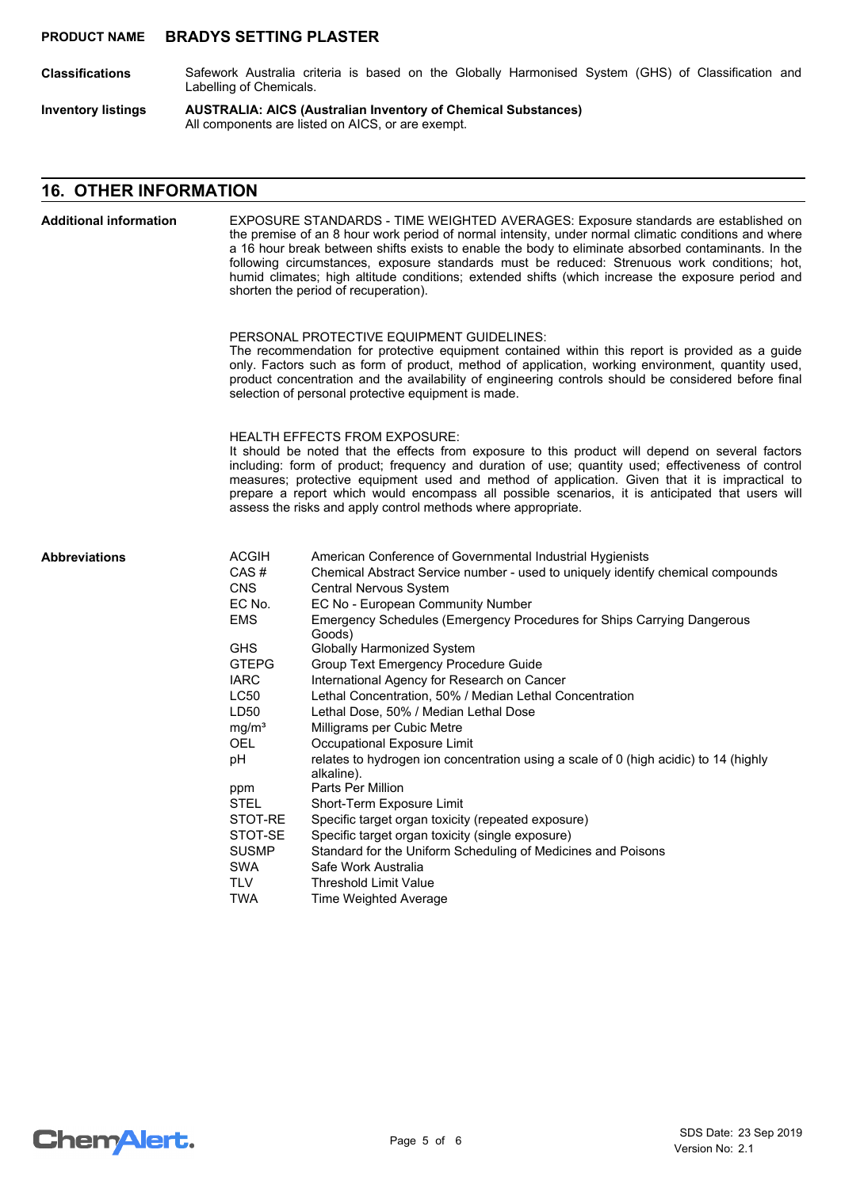- Safework Australia criteria is based on the Globally Harmonised System (GHS) of Classification and Labelling of Chemicals. **Classifications**
- **AUSTRALIA: AICS (Australian Inventory of Chemical Substances)** All components are listed on AICS, or are exempt. **Inventory listings**

# **16. OTHER INFORMATION**

| <b>Additional information</b> | EXPOSURE STANDARDS - TIME WEIGHTED AVERAGES: Exposure standards are established on<br>the premise of an 8 hour work period of normal intensity, under normal climatic conditions and where<br>a 16 hour break between shifts exists to enable the body to eliminate absorbed contaminants. In the<br>following circumstances, exposure standards must be reduced: Strenuous work conditions; hot,<br>humid climates; high altitude conditions; extended shifts (which increase the exposure period and<br>shorten the period of recuperation). |                                                                                                                                                                                                                                                                                                                                                                                                                                                                                                                                                                                                                                                                                                                                                                                                                                                                                                                                                                                                                              |  |
|-------------------------------|------------------------------------------------------------------------------------------------------------------------------------------------------------------------------------------------------------------------------------------------------------------------------------------------------------------------------------------------------------------------------------------------------------------------------------------------------------------------------------------------------------------------------------------------|------------------------------------------------------------------------------------------------------------------------------------------------------------------------------------------------------------------------------------------------------------------------------------------------------------------------------------------------------------------------------------------------------------------------------------------------------------------------------------------------------------------------------------------------------------------------------------------------------------------------------------------------------------------------------------------------------------------------------------------------------------------------------------------------------------------------------------------------------------------------------------------------------------------------------------------------------------------------------------------------------------------------------|--|
|                               |                                                                                                                                                                                                                                                                                                                                                                                                                                                                                                                                                | PERSONAL PROTECTIVE EQUIPMENT GUIDELINES:<br>The recommendation for protective equipment contained within this report is provided as a guide<br>only. Factors such as form of product, method of application, working environment, quantity used,<br>product concentration and the availability of engineering controls should be considered before final<br>selection of personal protective equipment is made.                                                                                                                                                                                                                                                                                                                                                                                                                                                                                                                                                                                                             |  |
|                               |                                                                                                                                                                                                                                                                                                                                                                                                                                                                                                                                                | <b>HEALTH EFFECTS FROM EXPOSURE:</b><br>It should be noted that the effects from exposure to this product will depend on several factors<br>including: form of product; frequency and duration of use; quantity used; effectiveness of control<br>measures; protective equipment used and method of application. Given that it is impractical to<br>prepare a report which would encompass all possible scenarios, it is anticipated that users will<br>assess the risks and apply control methods where appropriate.                                                                                                                                                                                                                                                                                                                                                                                                                                                                                                        |  |
| <b>Abbreviations</b>          | <b>ACGIH</b><br>CAS#<br><b>CNS</b><br>EC No.<br><b>EMS</b><br><b>GHS</b><br><b>GTEPG</b><br><b>IARC</b><br><b>LC50</b><br>LD50<br>mg/m <sup>3</sup><br><b>OEL</b><br>рH<br>ppm<br><b>STEL</b><br>STOT-RE<br>STOT-SE<br><b>SUSMP</b><br><b>SWA</b><br><b>TLV</b><br><b>TWA</b>                                                                                                                                                                                                                                                                  | American Conference of Governmental Industrial Hygienists<br>Chemical Abstract Service number - used to uniquely identify chemical compounds<br><b>Central Nervous System</b><br>EC No - European Community Number<br>Emergency Schedules (Emergency Procedures for Ships Carrying Dangerous<br>Goods)<br><b>Globally Harmonized System</b><br><b>Group Text Emergency Procedure Guide</b><br>International Agency for Research on Cancer<br>Lethal Concentration, 50% / Median Lethal Concentration<br>Lethal Dose, 50% / Median Lethal Dose<br>Milligrams per Cubic Metre<br>Occupational Exposure Limit<br>relates to hydrogen ion concentration using a scale of 0 (high acidic) to 14 (highly<br>alkaline).<br>Parts Per Million<br>Short-Term Exposure Limit<br>Specific target organ toxicity (repeated exposure)<br>Specific target organ toxicity (single exposure)<br>Standard for the Uniform Scheduling of Medicines and Poisons<br>Safe Work Australia<br><b>Threshold Limit Value</b><br>Time Weighted Average |  |